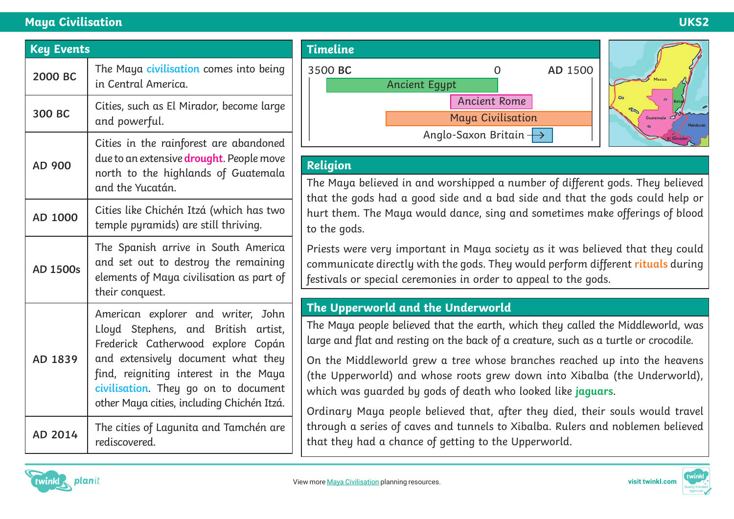#### **Maya Civilisation UKS2**

| <b>Key Events</b> |                                                                                                                                                                                                                                                                                      |
|-------------------|--------------------------------------------------------------------------------------------------------------------------------------------------------------------------------------------------------------------------------------------------------------------------------------|
| 2000 BC           | The Maya civilisation comes into being<br>in Central America.                                                                                                                                                                                                                        |
| 300 BC            | Cities, such as El Mirador, become large<br>and powerful.                                                                                                                                                                                                                            |
| AD 900            | Cities in the rainforest are abandoned<br>due to an extensive drought. People move<br>north to the highlands of Guatemala<br>and the Yucatán.                                                                                                                                        |
| AD 1000           | Cities like Chichén Itzá (which has two<br>temple pyramids) are still thriving.                                                                                                                                                                                                      |
| <b>AD 1500s</b>   | The Spanish arrive in South America<br>and set out to destroy the remaining<br>elements of Maya civilisation as part of<br>their conquest.                                                                                                                                           |
| AD 1839           | American explorer and writer, John<br>Lloyd Stephens, and British artist,<br>Frederick Catherwood explore Copán<br>and extensively document what they<br>find, reigniting interest in the Maya<br>civilisation. They go on to document<br>other Maya cities, including Chichén Itzá. |
| AD 2014           | The cities of Lagunita and Tamchén are<br>rediscovered.                                                                                                                                                                                                                              |



## **Religion**

The Maya believed in and worshipped a number of different gods. They believed that the gods had a good side and a bad side and that the gods could help or hurt them. The Maya would dance, sing and sometimes make offerings of blood to the gods.

Priests were very important in Maya society as it was believed that they could communicate directly with the gods. They would perform different **rituals** during festivals or special ceremonies in order to appeal to the gods.

## **The Upperworld and the Underworld**

The Maya people believed that the earth, which they called the Middleworld, was large and flat and resting on the back of a creature, such as a turtle or crocodile.

On the Middleworld grew a tree whose branches reached up into the heavens (the Upperworld) and whose roots grew down into Xibalba (the Underworld), which was guarded by gods of death who looked like **jaguars**.

Ordinary Maya people believed that, after they died, their souls would travel through a series of caves and tunnels to Xibalba. Rulers and noblemen believed that they had a chance of getting to the Upperworld.